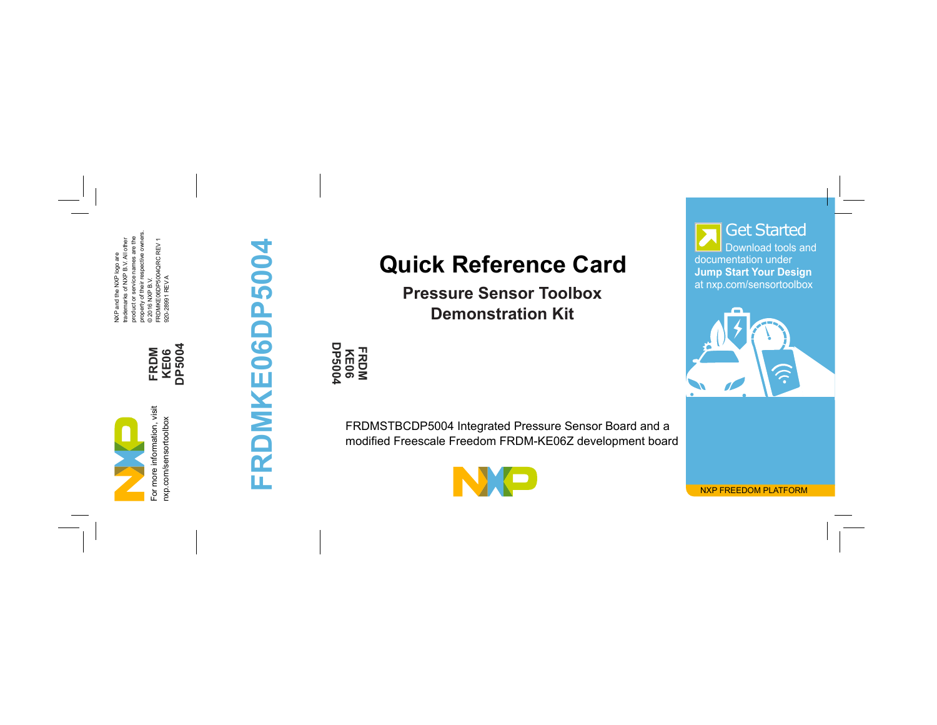NXP and the NXP lego are<br>prademarks of NXP B.V. All other<br>property of their respective coviners.<br>property of their respective coviners.<br>© 2016 NXP B.V.<br>920-28991 REV A<br>920-28991 REV A property of their respective owners. product or service names are the FRDMKE06DP5004QRC REV 1 trademarks of NXP B.V. All other NXP and the NXP logo are 920-28991 REV A © 2016 NXP B.V.

For more information, visit

For more information, visit

**FRDM KE06 DP5004** nxp.com/sensortoolbox nxp.com/sensortoolbox

## FRDMKE06DP5004 **FRDMKE06DP5004**

## **Quick Reference Card**

**Pressure Sensor Toolbox Demonstration Kit**

**DP5004 KE06 FRDM**

FRDMSTBCDP5004 Integrated Pressure Sensor Board and a modified Freescale Freedom FRDM-KE06Z development board

documentation under **Jump Start Your Design** at nxp.com/sensortoolbox Download tools and Get Started



NXP FREEDOM PLATFORM